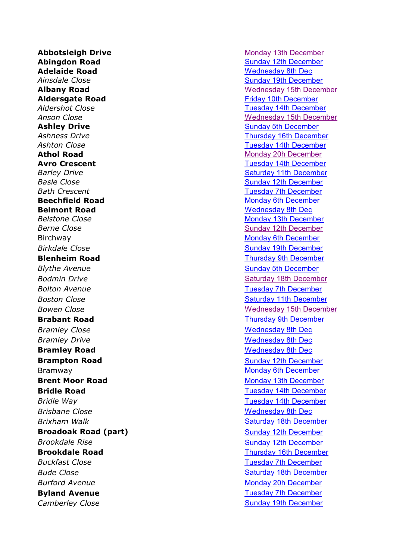**Abbotsleigh Drive** Monday 13th [December](https://bwrotary.org/wp-content/uploads/2019/11/Route-10-coloured.jpg) **Abingdon Road** Sunday 12th [December](https://bwrotary.org/wp-content/uploads/2019/11/Route-9-coloured.jpg) **Adelaide Road** [Wednesday](https://bwrotary.org/wp-content/uploads/2019/11/Route-5-coloured.jpg) 8th Dec *Ainsdale Close* Sunday 19th [December](https://bwrotary.org/wp-content/uploads/2019/11/Route-1-coloured.jpg) **Aldersgate Road** Friday 10th [December](https://bwrotary.org/wp-content/uploads/2019/11/Route-7-coloured.jpg) *Aldershot Close* Tuesday 14th [December](https://bwrotary.org/wp-content/uploads/2019/11/Route-16-coloured.jpg) **Ashley Drive Ashley Drive** Sunday 5th [December](https://bwrotary.org/wp-content/uploads/2019/11/Route-2-coloured.jpg) **Ashness Drive** Thursday 16th [December](https://bwrotary.org/wp-content/uploads/2019/11/Route-12-coloured.jpg) **Ashton Close** Tuesday 14th [December](https://bwrotary.org/wp-content/uploads/2019/11/Route-16-coloured.jpg) **Athol Road** Monday 20h [December](https://bwrotary.org/wp-content/uploads/2019/11/Route-13-coloured.jpg) **Avro Crescent Avro Crescent Tuesday 14th [December](https://bwrotary.org/wp-content/uploads/2019/11/Route-16-coloured.jpg) Barley Drive Barley Drive Barley Drive Saturday** 11th [December](https://bwrotary.org/wp-content/uploads/2019/11/Route-8-coloured.jpg) **Basle** Close **Sunday 12th [December](https://bwrotary.org/wp-content/uploads/2019/11/Route-9-coloured.jpg) Bath Crescent Tuesday 7th [December](https://bwrotary.org/wp-content/uploads/2019/11/Route-4-coloured.jpg) Beechfield Road** Monday 6th [December](https://bwrotary.org/wp-content/uploads/2019/11/Route-3-coloured.jpg) **Belmont Road** [Wednesday](https://bwrotary.org/wp-content/uploads/2019/11/Route-5-coloured.jpg) 8th Dec **Belstone Close** Monday 13th [December](https://bwrotary.org/wp-content/uploads/2019/11/Route-10-coloured.jpg) **Berne** Close **Sunday 12th [December](https://bwrotary.org/wp-content/uploads/2019/11/Route-9-coloured.jpg) Sunday 12th December** Birchway Monday 6th [December](https://bwrotary.org/wp-content/uploads/2019/11/Route-3-coloured.jpg) *Birkdale Close* Sunday 19th [December](https://bwrotary.org/wp-content/uploads/2019/11/Route-1-coloured.jpg) **Blenheim Road** Thursday 9th [December](https://bwrotary.org/wp-content/uploads/2019/11/Route-6-coloured.jpg) **Blythe** Avenue **Sunday 5th [December](https://bwrotary.org/wp-content/uploads/2019/11/Route-2-coloured.jpg) Bodmin Drive Saturday 18th [December](https://bwrotary.org/wp-content/uploads/2019/11/Route-14-coloured.jpg)** Saturday 18th December *Bolton Avenue* Tuesday 7th [December](https://bwrotary.org/wp-content/uploads/2019/11/Route-4-coloured.jpg) **Boston Close** Saturday 11th [December](https://bwrotary.org/wp-content/uploads/2019/11/Route-8-coloured.jpg) **Brabant Road Thursday 9th [December](https://bwrotary.org/wp-content/uploads/2019/11/Route-6-coloured.jpg)** *Bramley Close* Mednesday 8th Dec *Bramley Drive* Mednesday 8th Dec **Bramley Road Bramley Road [Wednesday](https://bwrotary.org/wp-content/uploads/2019/11/Route-5-coloured.jpg) 8th Dec Brampton Road** Sunday 12th [December](https://bwrotary.org/wp-content/uploads/2019/11/Route-9-coloured.jpg) Bramway **Monday 6th [December](https://bwrotary.org/wp-content/uploads/2019/11/Route-3-coloured.jpg) Brent Moor Road** Monday 13th [December](https://bwrotary.org/wp-content/uploads/2019/11/Route-10-coloured.jpg) **Bridle Road** Tuesday 14th [December](https://bwrotary.org/wp-content/uploads/2019/11/Route-16-coloured.jpg) *Bridle Way* **Tuesday 14th [December](https://bwrotary.org/wp-content/uploads/2019/11/Route-16-coloured.jpg)** *Brisbane Close* Mednesday 8th Dec **Brixham Walk Saturday 18th [December](https://bwrotary.org/wp-content/uploads/2019/11/Route-14-coloured.jpg) Saturday 18th December Broadoak Road (part)** Sunday 12th [December](https://bwrotary.org/wp-content/uploads/2019/11/Route-9-coloured.jpg) **Brookdale** Rise **Sunday 12th [December](https://bwrotary.org/wp-content/uploads/2019/11/Route-9-coloured.jpg) Buckfast Close** Tuesday 7th [December](https://bwrotary.org/wp-content/uploads/2019/11/Route-4-coloured.jpg) **Bude Close** Saturday 18th [December](https://bwrotary.org/wp-content/uploads/2019/11/Route-14-coloured.jpg) **Burford Avenue** Monday 20h [December](https://bwrotary.org/wp-content/uploads/2019/11/Route-13-coloured.jpg) **Byland Avenue** Tuesday 7th [December](https://bwrotary.org/wp-content/uploads/2019/11/Route-4-coloured.jpg)

**Albany Road** [Wednesday](https://bwrotary.org/wp-content/uploads/2019/11/Route-11-coloured.jpg) 15th December **Anson Close** Manual Close Manual Close Media and Media [Wednesday](https://bwrotary.org/wp-content/uploads/2019/11/Route-11-coloured.jpg) 15th December **Bowen** Close **Manufacturer Contract Close** Media Media [Wednesday](https://bwrotary.org/wp-content/uploads/2019/11/Route-11-coloured.jpg) 15th December **Brookdale Road** Thursday 16th [December](https://bwrotary.org/wp-content/uploads/2019/11/Route-12-coloured.jpg) *Camberley Close* Sunday 19th [December](https://bwrotary.org/wp-content/uploads/2019/11/Route-1-coloured.jpg)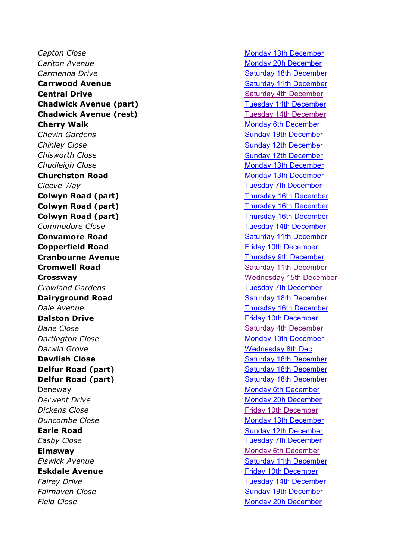**Capton Close Monday 13th [December](https://bwrotary.org/wp-content/uploads/2019/11/Route-10-coloured.jpg)** *Carlton Avenue* Monday 20h [December](https://bwrotary.org/wp-content/uploads/2019/11/Route-13-coloured.jpg) **Carmenna Drive Carmenna Drive Saturday 18th [December](https://bwrotary.org/wp-content/uploads/2019/11/Route-14-coloured.jpg) Carrwood Avenue** Saturday 11th [December](https://bwrotary.org/wp-content/uploads/2019/11/Route-8-coloured.jpg) **Central Drive Central Drive Saturday 4th [December](https://bwrotary.org/wp-content/uploads/2019/11/Route-15-coloured.jpg) Chadwick Avenue (part)** Tuesday 14th [December](https://bwrotary.org/wp-content/uploads/2019/11/Route-16-coloured.jpg) **Chadwick Avenue (rest)** Tuesday 14th [December](https://bwrotary.org/wp-content/uploads/2019/11/Route-16-coloured.jpg) **Cherry Walk** Monday 6th [December](https://bwrotary.org/wp-content/uploads/2019/11/Route-3-coloured.jpg) **Chevin Gardens** Cheving **Gardens** Chevin **Gardens** Chevin **Sunday 19th [December](https://bwrotary.org/wp-content/uploads/2019/11/Route-1-coloured.jpg)** *Chinley Close* Sunday 12th [December](https://bwrotary.org/wp-content/uploads/2019/11/Route-9-coloured.jpg) *Chisworth Close* Sunday 12th [December](https://bwrotary.org/wp-content/uploads/2019/11/Route-9-coloured.jpg) *Chudleigh Close* Monday 13th [December](https://bwrotary.org/wp-content/uploads/2019/11/Route-10-coloured.jpg) **Churchston Road** Monday 13th [December](https://bwrotary.org/wp-content/uploads/2019/11/Route-10-coloured.jpg) *Cleeve* Way **Tuesday 7th [December](https://bwrotary.org/wp-content/uploads/2019/11/Route-4-coloured.jpg) Colwyn Road (part)** Thursday 16th [December](https://bwrotary.org/wp-content/uploads/2019/11/Route-12-coloured.jpg) **Colwyn Road (part)** Thursday 16th [December](https://bwrotary.org/wp-content/uploads/2019/11/Route-12-coloured.jpg) **Colwyn Road (part)** Thursday 16th [December](https://bwrotary.org/wp-content/uploads/2019/11/Route-12-coloured.jpg) **Commodore Close** Tuesday 14th [December](https://bwrotary.org/wp-content/uploads/2019/11/Route-16-coloured.jpg) **Convamore Road** Saturday 11th [December](https://bwrotary.org/wp-content/uploads/2019/11/Route-8-coloured.jpg) **Copperfield Road Friday 10th [December](https://bwrotary.org/wp-content/uploads/2019/11/Route-7-coloured.jpg) Cranbourne Avenue** Thursday 9th [December](https://bwrotary.org/wp-content/uploads/2019/11/Route-6-coloured.jpg) **Cromwell Road** Saturday 11th [December](https://bwrotary.org/wp-content/uploads/2019/11/Route-8-coloured.jpg) **Crossway Crossway** [Wednesday](https://bwrotary.org/wp-content/uploads/2019/11/Route-11-coloured.jpg) 15th December **Crowland Gardens** Tuesday 7th [December](https://bwrotary.org/wp-content/uploads/2019/11/Route-4-coloured.jpg) **Dairyground Road** Saturday 18th [December](https://bwrotary.org/wp-content/uploads/2019/11/Route-14-coloured.jpg) **Dale** Avenue **Thursday 16th [December](https://bwrotary.org/wp-content/uploads/2019/11/Route-12-coloured.jpg) Dalston Drive Contract Contract Contract Contract Contract Contract Contract Contract Contract Contract Contract Contract Contract Contract Contract Contract Contract Contract Contract Contract Contract Contract Contrac Dane** Close Saturday 4th [December](https://bwrotary.org/wp-content/uploads/2019/11/Route-15-coloured.jpg) **Dartington Close** Monday 13th [December](https://bwrotary.org/wp-content/uploads/2019/11/Route-10-coloured.jpg) *Darwin Grove* Mednesday 8th Dec **Dawlish Close Contract Close** Saturday 18th [December](https://bwrotary.org/wp-content/uploads/2019/11/Route-14-coloured.jpg) **Delfur Road (part)** Saturday 18th [December](https://bwrotary.org/wp-content/uploads/2019/11/Route-14-coloured.jpg) **Delfur Road (part)** Saturday 18th [December](https://bwrotary.org/wp-content/uploads/2019/11/Route-14-coloured.jpg) Deneway Monday 6th [December](https://bwrotary.org/wp-content/uploads/2019/11/Route-3-coloured.jpg) *Derwent Drive* Monday 20h [December](https://bwrotary.org/wp-content/uploads/2019/11/Route-13-coloured.jpg) *Dickens Close* Friday 10th [December](https://bwrotary.org/wp-content/uploads/2019/11/Route-7-coloured.jpg) *Duncombe Close* Monday 13th [December](https://bwrotary.org/wp-content/uploads/2019/11/Route-10-coloured.jpg) **Earle Road** Sunday 12th [December](https://bwrotary.org/wp-content/uploads/2019/11/Route-9-coloured.jpg) **Easby** Close **Tuesday** 7th [December](https://bwrotary.org/wp-content/uploads/2019/11/Route-4-coloured.jpg) **Elmsway Elmsway Monday 6th [December](https://bwrotary.org/wp-content/uploads/2019/11/Route-3-coloured.jpg) Elswick Avenue Saturday 11th [December](https://bwrotary.org/wp-content/uploads/2019/11/Route-8-coloured.jpg) Eskdale Avenue Eskdale Avenue Friday 10th [December](https://bwrotary.org/wp-content/uploads/2019/11/Route-7-coloured.jpg)** *Fairey Drive* Tuesday 14th [December](https://bwrotary.org/wp-content/uploads/2019/11/Route-16-coloured.jpg) **Fairhaven Close** Sunday 19th [December](https://bwrotary.org/wp-content/uploads/2019/11/Route-1-coloured.jpg) *Field Close* Monday 20h [December](https://bwrotary.org/wp-content/uploads/2019/11/Route-13-coloured.jpg)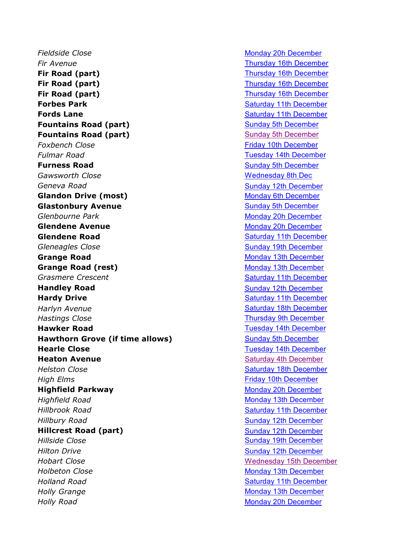**Fieldside Close** Monday 20h [December](https://bwrotary.org/wp-content/uploads/2019/11/Route-13-coloured.jpg) *Fir Avenue* Thursday 16th [December](https://bwrotary.org/wp-content/uploads/2019/11/Route-12-coloured.jpg) **Fir Road (part)** Thursday 16th [December](https://bwrotary.org/wp-content/uploads/2019/11/Route-12-coloured.jpg) **Fir Road (part)** Thursday 16th [December](https://bwrotary.org/wp-content/uploads/2019/11/Route-12-coloured.jpg) **Fir Road (part)** Thursday 16th [December](https://bwrotary.org/wp-content/uploads/2019/11/Route-12-coloured.jpg) **Forbes Park Communist Except Communist Communist Communist Communist Communist Communist Communist Communist Communist Communist Communist Communist Communist Communist Communist Communist Communist Communist Communist Fords Lane Saturday 11th [December](https://bwrotary.org/wp-content/uploads/2019/11/Route-8-coloured.jpg) Saturday 11th December Fountains Road (part)** Sunday 5th [December](https://bwrotary.org/wp-content/uploads/2019/11/Route-2-coloured.jpg) **Fountains Road (part)** Sunday 5th [December](https://bwrotary.org/wp-content/uploads/2019/11/Route-2-coloured.jpg) **Foxbench Close Foxbench Close Friday 10th [December](https://bwrotary.org/wp-content/uploads/2019/11/Route-7-coloured.jpg) Fulmar** Road **Tuesday 14th [December](https://bwrotary.org/wp-content/uploads/2019/11/Route-16-coloured.jpg) Furness Road** Sunday 5th [December](https://bwrotary.org/wp-content/uploads/2019/11/Route-2-coloured.jpg) **Gawsworth Close Manufacturer Close** Mednesday 8th Dec *Geneva Road* Sunday 12th [December](https://bwrotary.org/wp-content/uploads/2019/11/Route-9-coloured.jpg) **Glandon Drive (most)** Monday 6th [December](https://bwrotary.org/wp-content/uploads/2019/11/Route-3-coloured.jpg) **Glastonbury Avenue** Sunday 5th [December](https://bwrotary.org/wp-content/uploads/2019/11/Route-2-coloured.jpg) **Glenbourne Park** Monday 20h [December](https://bwrotary.org/wp-content/uploads/2019/11/Route-13-coloured.jpg) **Glendene Avenue** Monday 20h [December](https://bwrotary.org/wp-content/uploads/2019/11/Route-13-coloured.jpg) **Glendene Road** Saturday 11th [December](https://bwrotary.org/wp-content/uploads/2019/11/Route-8-coloured.jpg) **Gleneagles Close** Sunday 19th [December](https://bwrotary.org/wp-content/uploads/2019/11/Route-1-coloured.jpg) **Grange Road** Monday 13th [December](https://bwrotary.org/wp-content/uploads/2019/11/Route-10-coloured.jpg) **Grange Road (rest)** Monday 13th [December](https://bwrotary.org/wp-content/uploads/2019/11/Route-10-coloured.jpg) **Grasmere Crescent** Saturday 11th [December](https://bwrotary.org/wp-content/uploads/2019/11/Route-8-coloured.jpg) **Handley Road** Sunday 12th [December](https://bwrotary.org/wp-content/uploads/2019/11/Route-9-coloured.jpg) **Hardy Drive No. 2. 2. 2. 2. 2. 2. 2. 2. 2. 2. 2. 2. Saturday 11th [December](https://bwrotary.org/wp-content/uploads/2019/11/Route-8-coloured.jpg)** *Harlyn* Avenue **Saturday 18th [December](https://bwrotary.org/wp-content/uploads/2019/11/Route-14-coloured.jpg)** *Hastings Close* Thursday 9th [December](https://bwrotary.org/wp-content/uploads/2019/11/Route-6-coloured.jpg) **Hawker Road** Tuesday 14th [December](https://bwrotary.org/wp-content/uploads/2019/11/Route-16-coloured.jpg) **Hawthorn Grove (if time allows)** Sunday 5th [December](https://bwrotary.org/wp-content/uploads/2019/11/Route-2-coloured.jpg) **Hearle Close** Tuesday 14th [December](https://bwrotary.org/wp-content/uploads/2019/11/Route-16-coloured.jpg) **Heaton Avenue Exercise Saturday 4th [December](https://bwrotary.org/wp-content/uploads/2019/11/Route-15-coloured.jpg)** *Helston Close* Saturday 18th [December](https://bwrotary.org/wp-content/uploads/2019/11/Route-14-coloured.jpg) *High Elms* Friday 10th [December](https://bwrotary.org/wp-content/uploads/2019/11/Route-7-coloured.jpg) **Highfield Parkway** Monday 20h [December](https://bwrotary.org/wp-content/uploads/2019/11/Route-13-coloured.jpg) *Highfield Road* Monday 13th [December](https://bwrotary.org/wp-content/uploads/2019/11/Route-10-coloured.jpg) *Hillbrook Road* Saturday 11th [December](https://bwrotary.org/wp-content/uploads/2019/11/Route-8-coloured.jpg) *Hillbury Road* Sunday 12th [December](https://bwrotary.org/wp-content/uploads/2019/11/Route-9-coloured.jpg) **Hillcrest Road (part)** Sunday 12th [December](https://bwrotary.org/wp-content/uploads/2019/11/Route-9-coloured.jpg) *Hillside Close* Sunday 19th [December](https://bwrotary.org/wp-content/uploads/2019/11/Route-1-coloured.jpg) *Hilton Drive* Sunday 12th [December](https://bwrotary.org/wp-content/uploads/2019/11/Route-9-coloured.jpg) **Hobart Close** [Wednesday](https://bwrotary.org/wp-content/uploads/2019/11/Route-11-coloured.jpg) 15th December *Holbeton Close* Monday 13th [December](https://bwrotary.org/wp-content/uploads/2019/11/Route-10-coloured.jpg) *Holland Road* Saturday 11th [December](https://bwrotary.org/wp-content/uploads/2019/11/Route-8-coloured.jpg) *Holly Grange* Monday 13th [December](https://bwrotary.org/wp-content/uploads/2019/11/Route-10-coloured.jpg) *Holly Road* Monday 20h [December](https://bwrotary.org/wp-content/uploads/2019/11/Route-13-coloured.jpg)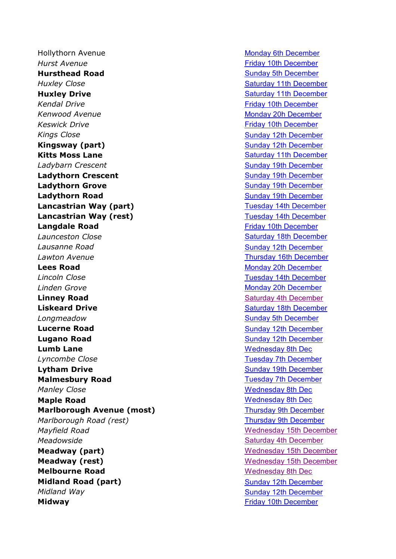Hollythorn Avenue Monday 6th [December](https://bwrotary.org/wp-content/uploads/2019/11/Route-3-coloured.jpg) *Hurst Avenue* Friday 10th [December](https://bwrotary.org/wp-content/uploads/2019/11/Route-7-coloured.jpg) **Hursthead Road Sunday 5th [December](https://bwrotary.org/wp-content/uploads/2019/11/Route-2-coloured.jpg)** *Huxley Close* Saturday 11th [December](https://bwrotary.org/wp-content/uploads/2019/11/Route-8-coloured.jpg) **Huxley Drive Saturday 11th [December](https://bwrotary.org/wp-content/uploads/2019/11/Route-8-coloured.jpg)** Saturday 11th December *Kendal Drive* **Friday 10th [December](https://bwrotary.org/wp-content/uploads/2019/11/Route-7-coloured.jpg)** *Kendal Drive Company Company Company Company Company Company Company Company Company Company Company Company Company Company* **Kenwood Avenue** Monday 20h [December](https://bwrotary.org/wp-content/uploads/2019/11/Route-13-coloured.jpg) *Keswick Drive* Friday 10th [December](https://bwrotary.org/wp-content/uploads/2019/11/Route-7-coloured.jpg) *Kings* Close Sunday 12th [December](https://bwrotary.org/wp-content/uploads/2019/11/Route-9-coloured.jpg) **Kingsway (part)** Sunday 12th [December](https://bwrotary.org/wp-content/uploads/2019/11/Route-9-coloured.jpg) **Kitts Moss Lane** Saturday 11th [December](https://bwrotary.org/wp-content/uploads/2019/11/Route-8-coloured.jpg) **Ladybarn Crescent** Sunday 19th [December](https://bwrotary.org/wp-content/uploads/2019/11/Route-1-coloured.jpg) **Ladythorn Crescent Creameder Creameder Creameder** Sunday 19th [December](https://bwrotary.org/wp-content/uploads/2019/11/Route-1-coloured.jpg) **Ladythorn Grove** Sunday 19th [December](https://bwrotary.org/wp-content/uploads/2019/11/Route-1-coloured.jpg) **Ladythorn Road** Sunday 19th [December](https://bwrotary.org/wp-content/uploads/2019/11/Route-1-coloured.jpg) **Lancastrian Way (part)** Tuesday 14th [December](https://bwrotary.org/wp-content/uploads/2019/11/Route-16-coloured.jpg) **Lancastrian Way (rest)** Tuesday 14th [December](https://bwrotary.org/wp-content/uploads/2019/11/Route-16-coloured.jpg) **Langdale Road Friday 10th [December](https://bwrotary.org/wp-content/uploads/2019/11/Route-7-coloured.jpg) Launceston Close** Saturday 18th [December](https://bwrotary.org/wp-content/uploads/2019/11/Route-14-coloured.jpg) **Lausanne** Road **Sunday 12th [December](https://bwrotary.org/wp-content/uploads/2019/11/Route-9-coloured.jpg) Lawton Avenue Thursday 16th [December](https://bwrotary.org/wp-content/uploads/2019/11/Route-12-coloured.jpg) Lees Road** Monday 20h [December](https://bwrotary.org/wp-content/uploads/2019/11/Route-13-coloured.jpg) *Lincoln Close* Tuesday 14th [December](https://bwrotary.org/wp-content/uploads/2019/11/Route-16-coloured.jpg) *Linden Grove* **Monday 20h [December](https://bwrotary.org/wp-content/uploads/2019/11/Route-13-coloured.jpg) Linney Road** Saturday 4th [December](https://bwrotary.org/wp-content/uploads/2019/11/Route-15-coloured.jpg) **Liskeard Drive** Saturday 18th [December](https://bwrotary.org/wp-content/uploads/2019/11/Route-14-coloured.jpg) *Longmeadow* Sunday 5th [December](https://bwrotary.org/wp-content/uploads/2019/11/Route-2-coloured.jpg) **Lucerne Road Sunday 12th [December](https://bwrotary.org/wp-content/uploads/2019/11/Route-9-coloured.jpg) Lugano Road Sunday 12th [December](https://bwrotary.org/wp-content/uploads/2019/11/Route-9-coloured.jpg) Sunday 12th December Lumb Lane** [Wednesday](https://bwrotary.org/wp-content/uploads/2019/11/Route-5-coloured.jpg) 8th Dec **Lyncombe** Close **Tuesday 7th [December](https://bwrotary.org/wp-content/uploads/2019/11/Route-4-coloured.jpg) Lytham Drive Sunday 19th [December](https://bwrotary.org/wp-content/uploads/2019/11/Route-1-coloured.jpg) Sunday 19th December Malmesbury Road** Tuesday 7th [December](https://bwrotary.org/wp-content/uploads/2019/11/Route-4-coloured.jpg) *Manley Close* [Wednesday](https://bwrotary.org/wp-content/uploads/2019/11/Route-5-coloured.jpg) 8th Dec **Maple Road** [Wednesday](https://bwrotary.org/wp-content/uploads/2019/11/Route-5-coloured.jpg) 8th Dec **Marlborough Avenue (most)** Thursday 9th [December](https://bwrotary.org/wp-content/uploads/2019/11/Route-6-coloured.jpg) *Marlborough Road (rest)* Thursday 9th [December](https://bwrotary.org/wp-content/uploads/2019/11/Route-6-coloured.jpg) *Mayfield Road* Magnetic *Mayfield Road* [Wednesday](https://bwrotary.org/wp-content/uploads/2019/11/Route-11-coloured.jpg) 15th December *Meadowside* Saturday 4th [December](https://bwrotary.org/wp-content/uploads/2019/11/Route-15-coloured.jpg) **Meadway (part)** Meadway 15th December **Meadway (rest)** Meadway (rest) **Melbourne Road** Mednesday 8th Dec **Midland Road (part)** Sunday 12th [December](https://bwrotary.org/wp-content/uploads/2019/11/Route-9-coloured.jpg) *Midland Way* Sunday 12th [December](https://bwrotary.org/wp-content/uploads/2019/11/Route-9-coloured.jpg) **Midway Midway Friday 10th [December](https://bwrotary.org/wp-content/uploads/2019/11/Route-7-coloured.jpg)**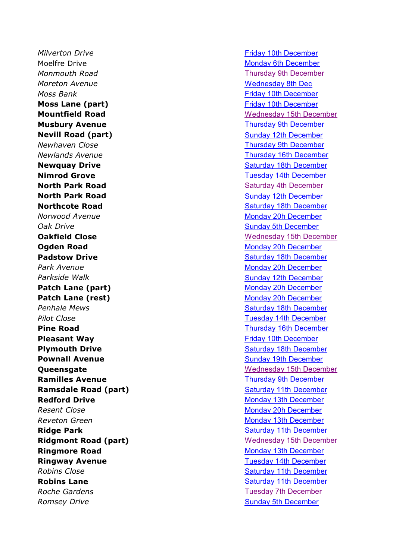*Milverton Drive* Friday 10th [December](https://bwrotary.org/wp-content/uploads/2019/11/Route-7-coloured.jpg) Moelfre Drive Monday 6th [December](https://bwrotary.org/wp-content/uploads/2019/11/Route-3-coloured.jpg) *Monmouth Road* Thursday 9th [December](https://bwrotary.org/wp-content/uploads/2019/11/Route-6-coloured.jpg) *Moreton Avenue* Manual Media Avenue Media [Wednesday](https://bwrotary.org/wp-content/uploads/2019/11/Route-5-coloured.jpg) 8th Dec *Moss Bank* **Friday 10th [December](https://bwrotary.org/wp-content/uploads/2019/11/Route-7-coloured.jpg)** *Moss Bank* **Moss Lane (part) Example 2018 Example 2018 Friday 10th [December](https://bwrotary.org/wp-content/uploads/2019/11/Route-7-coloured.jpg) Musbury Avenue Thursday 9th [December](https://bwrotary.org/wp-content/uploads/2019/11/Route-6-coloured.jpg) Nevill Road (part)** Sunday 12th [December](https://bwrotary.org/wp-content/uploads/2019/11/Route-9-coloured.jpg) *Newhaven Close* Thursday 9th [December](https://bwrotary.org/wp-content/uploads/2019/11/Route-6-coloured.jpg) *Newlands* Avenue **Thursday** 16th [December](https://bwrotary.org/wp-content/uploads/2019/11/Route-12-coloured.jpg) **Newquay Drive Newquay Drive Saturday** 18th [December](https://bwrotary.org/wp-content/uploads/2019/11/Route-14-coloured.jpg) **Nimrod Grove** Tuesday 14th [December](https://bwrotary.org/wp-content/uploads/2019/11/Route-16-coloured.jpg) **North Park Road Saturday 4th [December](https://bwrotary.org/wp-content/uploads/2019/11/Route-15-coloured.jpg)** Saturday 4th December **North Park Road** Sunday 12th [December](https://bwrotary.org/wp-content/uploads/2019/11/Route-9-coloured.jpg) **Northcote Road** Saturday 18th [December](https://bwrotary.org/wp-content/uploads/2019/11/Route-14-coloured.jpg) *Norwood Avenue* Monday 20h [December](https://bwrotary.org/wp-content/uploads/2019/11/Route-13-coloured.jpg) *Oak Drive* Sunday 5th [December](https://bwrotary.org/wp-content/uploads/2019/11/Route-2-coloured.jpg) **Ogden Road** Monday 20h [December](https://bwrotary.org/wp-content/uploads/2019/11/Route-13-coloured.jpg) **Padstow Drive Saturday 18th [December](https://bwrotary.org/wp-content/uploads/2019/11/Route-14-coloured.jpg)** Saturday 18th December **Park Avenue** Monday 20h [December](https://bwrotary.org/wp-content/uploads/2019/11/Route-13-coloured.jpg) **Parkside Walk Number 2018** Sunday 12th [December](https://bwrotary.org/wp-content/uploads/2019/11/Route-9-coloured.jpg) **Patch Lane (part)** Monday 20h [December](https://bwrotary.org/wp-content/uploads/2019/11/Route-13-coloured.jpg) **Patch Lane (rest)** Monday 20h [December](https://bwrotary.org/wp-content/uploads/2019/11/Route-13-coloured.jpg) **Penhale Mews Penhale Mews** Saturday 18th [December](https://bwrotary.org/wp-content/uploads/2019/11/Route-14-coloured.jpg) *Pilot Close* Tuesday 14th [December](https://bwrotary.org/wp-content/uploads/2019/11/Route-16-coloured.jpg) **Pine Road** Thursday 16th [December](https://bwrotary.org/wp-content/uploads/2019/11/Route-12-coloured.jpg) **Pleasant Way Pleasant Way Friday 10th [December](https://bwrotary.org/wp-content/uploads/2019/11/Route-7-coloured.jpg) Plymouth Drive Contract Contract Contract Contract Contract Contract Contract Contract Contract Contract Contract Contract Contract Contract Contract Contract Contract Contract Contract Contract Contract Contract Contra Pownall Avenue Community Community Community Community Community Community Community Community Community Community Community Community Community Community Community Community Community Community Community Community Comm Ramilles Avenue** Thursday 9th [December](https://bwrotary.org/wp-content/uploads/2019/11/Route-6-coloured.jpg) **Ramsdale Road (part)** Saturday 11th [December](https://bwrotary.org/wp-content/uploads/2019/11/Route-8-coloured.jpg) **Redford Drive** Monday 13th [December](https://bwrotary.org/wp-content/uploads/2019/11/Route-10-coloured.jpg) *Resent Close* Monday 20h [December](https://bwrotary.org/wp-content/uploads/2019/11/Route-13-coloured.jpg) *Reveton Green* Monday 13th [December](https://bwrotary.org/wp-content/uploads/2019/11/Route-10-coloured.jpg) **Ridge Park** Saturday 11th [December](https://bwrotary.org/wp-content/uploads/2019/11/Route-8-coloured.jpg) **Ringmore Road** Monday 13th [December](https://bwrotary.org/wp-content/uploads/2019/11/Route-10-coloured.jpg) **Ringway Avenue** Tuesday 14th [December](https://bwrotary.org/wp-content/uploads/2019/11/Route-16-coloured.jpg) **Robins Close** Saturday 11th [December](https://bwrotary.org/wp-content/uploads/2019/11/Route-8-coloured.jpg) **Robins Lane Company 12th [December](https://bwrotary.org/wp-content/uploads/2019/11/Route-8-coloured.jpg)** Saturday 11th December **Roche Gardens Tuesday 7th [December](https://bwrotary.org/wp-content/uploads/2019/11/Route-4-coloured.jpg)** *Romsey Drive* Sunday 5th [December](https://bwrotary.org/wp-content/uploads/2019/11/Route-2-coloured.jpg)

**Mountfield Road** Mountfield **Road** Mountfield **Road** [Wednesday](https://bwrotary.org/wp-content/uploads/2019/11/Route-11-coloured.jpg) 15th December **Oakfield Close Material Close Material Close [Wednesday](https://bwrotary.org/wp-content/uploads/2019/11/Route-11-coloured.jpg) 15th December Oueensgate** Manual Manual Mednesday 15th December **Ridgmont Road (part)** [Wednesday](https://bwrotary.org/wp-content/uploads/2019/11/Route-11-coloured.jpg) 15th December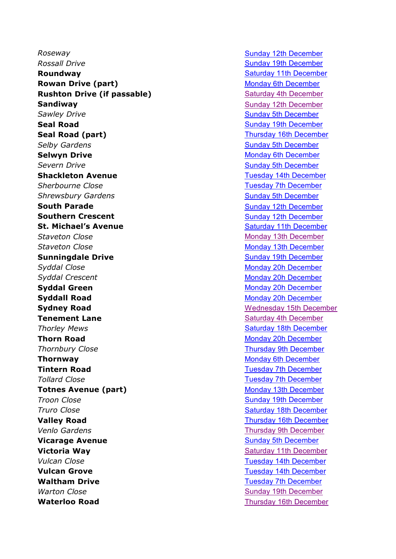**Roseway Roseway Sunday 12th [December](https://bwrotary.org/wp-content/uploads/2019/11/Route-9-coloured.jpg)** *Rossall Drive* **Sunday 19th [December](https://bwrotary.org/wp-content/uploads/2019/11/Route-1-coloured.jpg) Sunday 19th December Roundway Roundway Saturday 11th [December](https://bwrotary.org/wp-content/uploads/2019/11/Route-8-coloured.jpg) Rowan Drive (part)** Monday 6th [December](https://bwrotary.org/wp-content/uploads/2019/11/Route-3-coloured.jpg) **Rushton Drive (if passable)** Saturday 4th [December](https://bwrotary.org/wp-content/uploads/2019/11/Route-15-coloured.jpg) **Sandiway** Sunday 12th [December](https://bwrotary.org/wp-content/uploads/2019/11/Route-9-coloured.jpg) **Sawley Drive** Sunday 5th [December](https://bwrotary.org/wp-content/uploads/2019/11/Route-2-coloured.jpg) **Seal Road** Sunday 19th [December](https://bwrotary.org/wp-content/uploads/2019/11/Route-1-coloured.jpg) **Seal Road (part)** Thursday 16th [December](https://bwrotary.org/wp-content/uploads/2019/11/Route-12-coloured.jpg) **Selby Gardens** Sunday 5th [December](https://bwrotary.org/wp-content/uploads/2019/11/Route-2-coloured.jpg) **Selwyn Drive** Monday 6th [December](https://bwrotary.org/wp-content/uploads/2019/11/Route-3-coloured.jpg) **Severn Drive** Sunday 5th [December](https://bwrotary.org/wp-content/uploads/2019/11/Route-2-coloured.jpg) **Shackleton Avenue** Tuesday 14th [December](https://bwrotary.org/wp-content/uploads/2019/11/Route-16-coloured.jpg) **Sherbourne** Close **Tuesday 7th [December](https://bwrotary.org/wp-content/uploads/2019/11/Route-4-coloured.jpg) Shrewsbury Gardens** Shrewsbury **Gardens** Sunday 5th [December](https://bwrotary.org/wp-content/uploads/2019/11/Route-2-coloured.jpg) **South Parade** Sunday 12th [December](https://bwrotary.org/wp-content/uploads/2019/11/Route-9-coloured.jpg) **Southern Crescent** Sunday 12th [December](https://bwrotary.org/wp-content/uploads/2019/11/Route-9-coloured.jpg) **St. Michael's Avenue** Saturday 11th [December](https://bwrotary.org/wp-content/uploads/2019/11/Route-8-coloured.jpg) **Staveton Close** Monday 13th [December](https://bwrotary.org/wp-content/uploads/2019/11/Route-10-coloured.jpg) **Staveton Close** Monday 13th [December](https://bwrotary.org/wp-content/uploads/2019/11/Route-10-coloured.jpg) **Sunningdale Drive Sunday 19th [December](https://bwrotary.org/wp-content/uploads/2019/11/Route-1-coloured.jpg) Syddal Close** Monday 20h [December](https://bwrotary.org/wp-content/uploads/2019/11/Route-13-coloured.jpg) **Syddal Crescent** Monday 20h [December](https://bwrotary.org/wp-content/uploads/2019/11/Route-13-coloured.jpg) **Syddal Green** Monday 20h [December](https://bwrotary.org/wp-content/uploads/2019/11/Route-13-coloured.jpg) **Syddall Road** Monday 20h [December](https://bwrotary.org/wp-content/uploads/2019/11/Route-13-coloured.jpg) **Sydney Road** [Wednesday](https://bwrotary.org/wp-content/uploads/2019/11/Route-11-coloured.jpg) 15th December **Tenement Lane Saturday 4th [December](https://bwrotary.org/wp-content/uploads/2019/11/Route-15-coloured.jpg)** Saturday 4th December **Thorley Mews** Thorley **Mews** Saturday 18th [December](https://bwrotary.org/wp-content/uploads/2019/11/Route-14-coloured.jpg) **Thorn Road** Monday 20h [December](https://bwrotary.org/wp-content/uploads/2019/11/Route-13-coloured.jpg) **Thornbury Close** Thursday 9th [December](https://bwrotary.org/wp-content/uploads/2019/11/Route-6-coloured.jpg) **Thornway** Monday 6th [December](https://bwrotary.org/wp-content/uploads/2019/11/Route-3-coloured.jpg) **Tintern Road** Tuesday 7th [December](https://bwrotary.org/wp-content/uploads/2019/11/Route-4-coloured.jpg) **Tollard** Close **Tuesday 7th [December](https://bwrotary.org/wp-content/uploads/2019/11/Route-4-coloured.jpg) Totnes Avenue (part)** Monday 13th [December](https://bwrotary.org/wp-content/uploads/2019/11/Route-10-coloured.jpg) **Troon Close** Sunday 19th [December](https://bwrotary.org/wp-content/uploads/2019/11/Route-1-coloured.jpg) **Truro** Close **Saturday** 18th [December](https://bwrotary.org/wp-content/uploads/2019/11/Route-14-coloured.jpg) **Valley Road** Thursday 16th [December](https://bwrotary.org/wp-content/uploads/2019/11/Route-12-coloured.jpg) *Venlo Gardens* Thursday 9th [December](https://bwrotary.org/wp-content/uploads/2019/11/Route-6-coloured.jpg) **Vicarage Avenue Sunday 5th [December](https://bwrotary.org/wp-content/uploads/2019/11/Route-2-coloured.jpg) Victoria Way Saturday 11th [December](https://bwrotary.org/wp-content/uploads/2019/11/Route-8-coloured.jpg) Saturday 11th December Vulcan** Close **Tuesday 14th [December](https://bwrotary.org/wp-content/uploads/2019/11/Route-16-coloured.jpg) Vulcan Grove** Tuesday 14th [December](https://bwrotary.org/wp-content/uploads/2019/11/Route-16-coloured.jpg) **Waltham Drive** Tuesday 7th [December](https://bwrotary.org/wp-content/uploads/2019/11/Route-4-coloured.jpg) *Warton Close* Sunday 19th [December](https://bwrotary.org/wp-content/uploads/2019/11/Route-1-coloured.jpg) **Waterloo Road** Thursday 16th [December](https://bwrotary.org/wp-content/uploads/2019/11/Route-12-coloured.jpg)